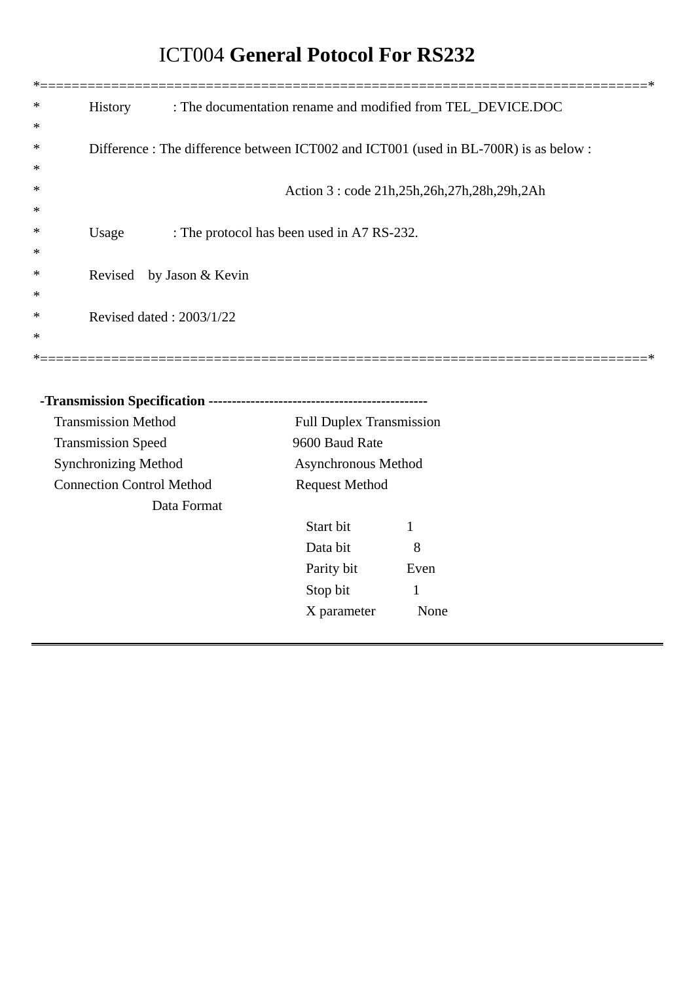# ICT004 **General Potocol For RS232**

| <b>History</b><br>∗              |                                                                                     | : The documentation rename and modified from TEL_DEVICE.DOC |              |  |
|----------------------------------|-------------------------------------------------------------------------------------|-------------------------------------------------------------|--------------|--|
| ∗                                |                                                                                     |                                                             |              |  |
| ∗                                | Difference: The difference between ICT002 and ICT001 (used in BL-700R) is as below: |                                                             |              |  |
| ∗                                |                                                                                     |                                                             |              |  |
| ∗                                |                                                                                     | Action 3: code 21h, 25h, 26h, 27h, 28h, 29h, 2Ah            |              |  |
| ∗                                |                                                                                     |                                                             |              |  |
| Usage<br>∗                       | : The protocol has been used in A7 RS-232.                                          |                                                             |              |  |
| ∗                                |                                                                                     |                                                             |              |  |
| ∗<br>Revised                     | by Jason & Kevin                                                                    |                                                             |              |  |
| ∗                                |                                                                                     |                                                             |              |  |
| ∗                                | Revised dated: 2003/1/22                                                            |                                                             |              |  |
| ∗                                |                                                                                     |                                                             |              |  |
|                                  |                                                                                     |                                                             |              |  |
|                                  |                                                                                     |                                                             |              |  |
|                                  |                                                                                     |                                                             |              |  |
| <b>Transmission Method</b>       |                                                                                     | <b>Full Duplex Transmission</b>                             |              |  |
| <b>Transmission Speed</b>        |                                                                                     | 9600 Baud Rate                                              |              |  |
| <b>Synchronizing Method</b>      |                                                                                     | Asynchronous Method                                         |              |  |
| <b>Connection Control Method</b> |                                                                                     | <b>Request Method</b>                                       |              |  |
|                                  | Data Format                                                                         |                                                             |              |  |
|                                  |                                                                                     | Start bit                                                   | $\mathbf{1}$ |  |
|                                  |                                                                                     | Data bit                                                    | 8            |  |
|                                  |                                                                                     | Parity bit                                                  | Even         |  |
|                                  |                                                                                     | Stop bit                                                    | $\mathbf{1}$ |  |
|                                  |                                                                                     | X parameter                                                 | None         |  |
|                                  |                                                                                     |                                                             |              |  |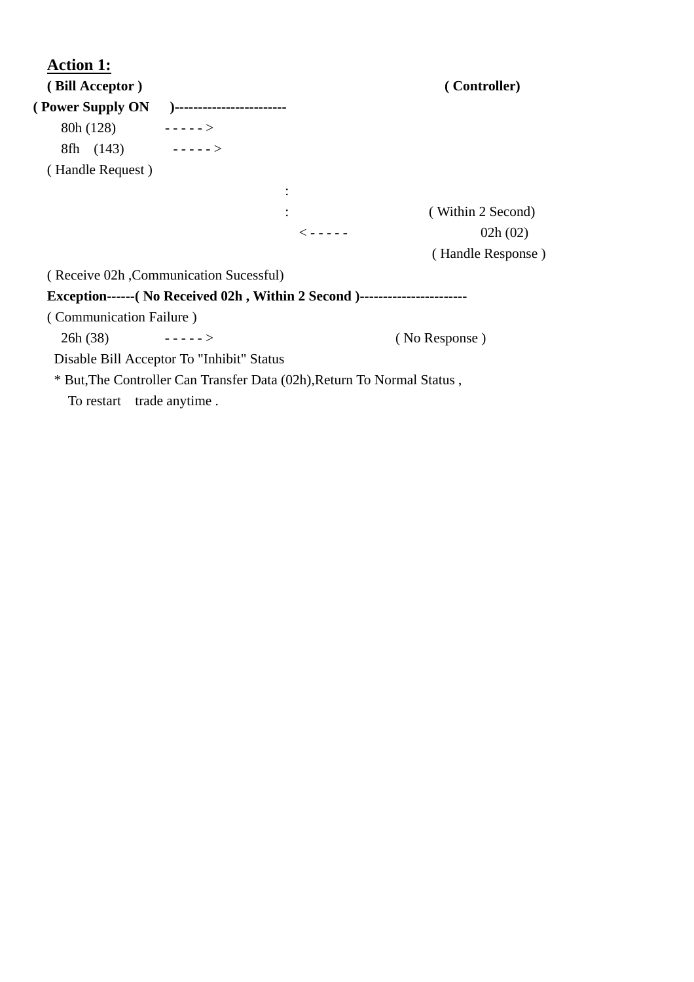| <b>Action 1:</b>          |                                                                                   |                   |
|---------------------------|-----------------------------------------------------------------------------------|-------------------|
| (Bill Acceptor)           |                                                                                   | (Controller)      |
|                           |                                                                                   |                   |
| $80h(128)$ ----->         |                                                                                   |                   |
| 8fh $(143)$ ----->        |                                                                                   |                   |
| (Handle Request)          |                                                                                   |                   |
|                           |                                                                                   |                   |
|                           |                                                                                   | (Within 2 Second) |
|                           | $\lt - - - -$                                                                     | 02h(02)           |
|                           |                                                                                   | (Handle Response) |
|                           | (Receive 02h, Communication Sucessful)                                            |                   |
|                           | Exception------(No Received 02h, Within 2 Second )------------------------------- |                   |
| (Communication Failure)   |                                                                                   |                   |
| 26h(38)                   |                                                                                   | (No Response)     |
|                           | Disable Bill Acceptor To "Inhibit" Status                                         |                   |
|                           | * But, The Controller Can Transfer Data (02h), Return To Normal Status,           |                   |
| To restart trade anytime. |                                                                                   |                   |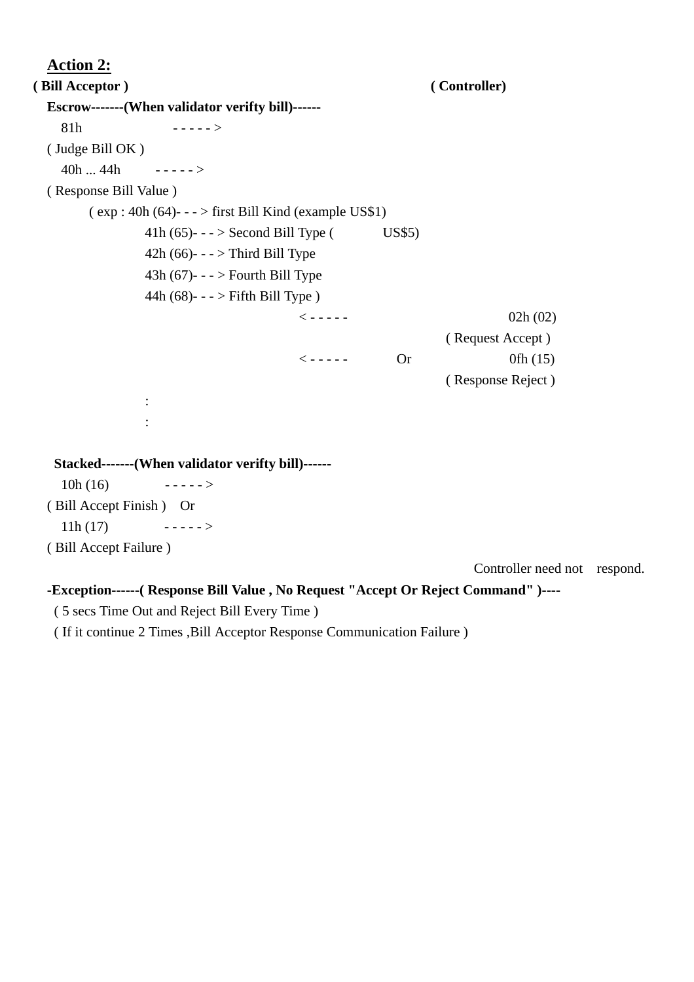```
 Action 2: 
( Bill Acceptor ) ( Controller)
   Escrow-------(When validator verifty bill)------ 
     81h - - - - - > 
   ( Judge Bill OK ) 
     40h ... 44h - - - - - > 
   ( Response Bill Value ) 
         (\exp: 40h (64) - \cdot \cdot \cdot) first Bill Kind (example US$1)
                   41h (65)---> Second Bill Type (US$5)
                   42h (66)- - - > Third Bill Type
                   43h (67)- - > Fourth Bill Type
                    44h (68)- - - > Fifth Bill Type ) 
\langle - - - - - 02h(02) \rangle ( Request Accept ) 
\langle----- Or 0fh (15)
                                                                         ( Response Reject ) 
: 1999 - 1999 - 1999 - 1999 - 1999 - 1999 - 1999 - 1999 - 1999 - 1999 - 1999 - 1999 - 1999 - 1999 - 1999 - 199
: 1999 - 1999 - 1999 - 1999 - 1999 - 1999 - 1999 - 1999 - 1999 - 1999 - 1999 - 1999 - 1999 - 1999 - 1999 - 199
    Stacked-------(When validator verifty bill)------ 
     10h(16) ----->
   ( Bill Accept Finish ) Or 
     11h(17) ----->
   ( Bill Accept Failure ) 
                                                                             Controller need not respond.
```
**-Exception------( Response Bill Value , No Request "Accept Or Reject Command" )----** 

( 5 secs Time Out and Reject Bill Every Time )

( If it continue 2 Times ,Bill Acceptor Response Communication Failure )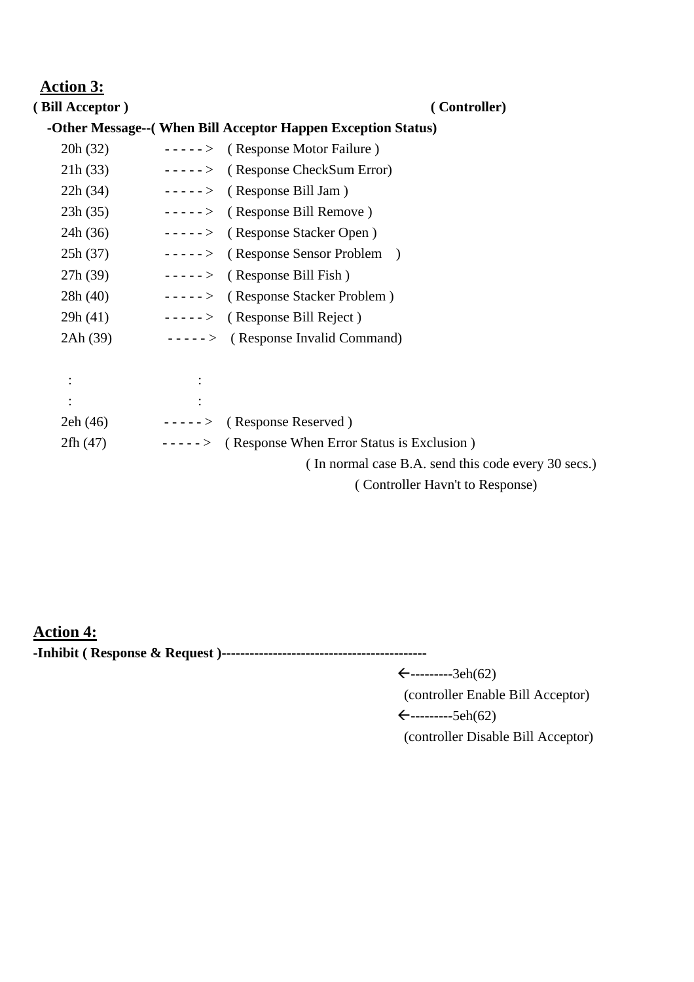## **Action 3:**

**( Bill Acceptor ) ( Controller)**

#### **-Other Message--( When Bill Acceptor Happen Exception Status)**

| 20h (32)  | $---$ (Response Motor Failure)                      |
|-----------|-----------------------------------------------------|
| 21h(33)   | $---$ > (Response CheckSum Error)                   |
| 22h(34)   | $---$ (Response Bill Jam)                           |
| 23h(35)   | $---$ (Response Bill Remove)                        |
| 24h(36)   | -----> (Response Stacker Open)                      |
| 25h(37)   | $---$ (Response Sensor Problem)                     |
| 27h(39)   | $---$ (Response Bill Fish)                          |
| 28h(40)   | -----> (Response Stacker Problem)                   |
| 29h(41)   | $---$ (Response Bill Reject)                        |
| 2Ah (39)  | $---$ (Response Invalid Command)                    |
|           |                                                     |
|           |                                                     |
| $\bullet$ |                                                     |
| 2eh(46)   | $---$ (Response Reserved)                           |
| 2fh(47)   | $---$ (Response When Error Status is Exclusion)     |
|           | (In normal case B.A. send this code every 30 secs.) |
|           | (Controller Havn't to Response)                     |
|           |                                                     |

**Action 4: -Inhibit ( Response & Request )--------------------------------------------**

 $\xi$ --------3eh(62)

(controller Enable Bill Acceptor)

 $\leftarrow$ ---------5eh(62)

(controller Disable Bill Acceptor)